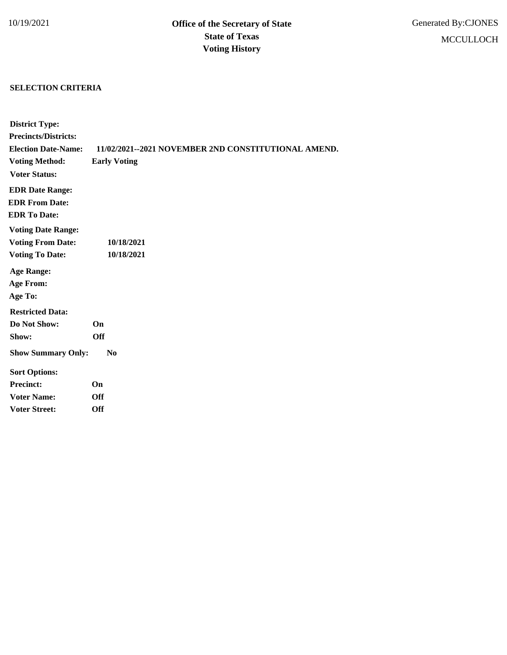## **SELECTION CRITERIA**

| <b>District Type:</b>       |                                                     |
|-----------------------------|-----------------------------------------------------|
| <b>Precincts/Districts:</b> |                                                     |
| <b>Election Date-Name:</b>  | 11/02/2021--2021 NOVEMBER 2ND CONSTITUTIONAL AMEND. |
| <b>Voting Method:</b>       | <b>Early Voting</b>                                 |
| <b>Voter Status:</b>        |                                                     |
| <b>EDR Date Range:</b>      |                                                     |
| <b>EDR From Date:</b>       |                                                     |
| <b>EDR To Date:</b>         |                                                     |
| <b>Voting Date Range:</b>   |                                                     |
| <b>Voting From Date:</b>    | 10/18/2021                                          |
| <b>Voting To Date:</b>      | 10/18/2021                                          |
| <b>Age Range:</b>           |                                                     |
| <b>Age From:</b>            |                                                     |
| Age To:                     |                                                     |
| <b>Restricted Data:</b>     |                                                     |
| Do Not Show:                | <b>On</b>                                           |
| Show:                       | <b>Off</b>                                          |
| <b>Show Summary Only:</b>   | $\bf No$                                            |
| <b>Sort Options:</b>        |                                                     |
| <b>Precinct:</b>            | On                                                  |
| <b>Voter Name:</b>          | <b>Off</b>                                          |
| <b>Voter Street:</b>        | Off                                                 |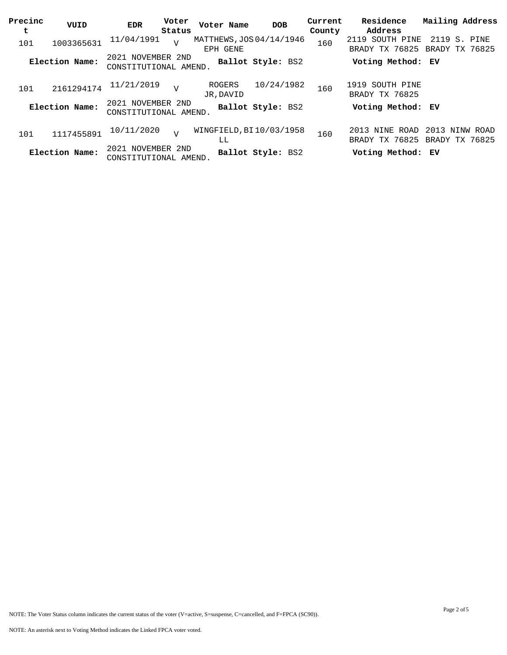| Precinc | VUID           | EDR                                        | Voter          | Voter Name                           | <b>DOB</b>        | Current | Residence                                       | Mailing Address                |  |
|---------|----------------|--------------------------------------------|----------------|--------------------------------------|-------------------|---------|-------------------------------------------------|--------------------------------|--|
| t       |                |                                            | Status         |                                      |                   | County  | Address                                         |                                |  |
| 101     | 1003365631     | 11/04/1991                                 | $\overline{U}$ | MATTHEWS, JOS 04/14/1946<br>EPH GENE |                   | 160     | 2119 SOUTH PINE<br>BRADY TX 76825               | 2119 S. PINE<br>BRADY TX 76825 |  |
|         | Election Name: | 2021 NOVEMBER 2ND<br>CONSTITUTIONAL AMEND. |                |                                      | Ballot Style: BS2 |         | Voting Method: EV                               |                                |  |
| 101     | 2161294174     | 11/21/2019                                 | $\overline{U}$ | ROGERS<br>JR, DAVID                  | 10/24/1982        | 160     | 1919 SOUTH PINE<br>BRADY TX 76825               |                                |  |
|         | Election Name: | 2021 NOVEMBER 2ND<br>CONSTITUTIONAL AMEND. |                |                                      | Ballot Style: BS2 |         | Voting Method: EV                               |                                |  |
| 101     | 1117455891     | 10/11/2020                                 | $\overline{V}$ | WINGFIELD, BI10/03/1958<br>LL        |                   | 160     | 2013 NINE ROAD<br>BRADY TX 76825 BRADY TX 76825 | 2013 NINW ROAD                 |  |
|         | Election Name: | 2021 NOVEMBER 2ND<br>CONSTITUTIONAL AMEND. |                |                                      | Ballot Style: BS2 |         | Voting Method: EV                               |                                |  |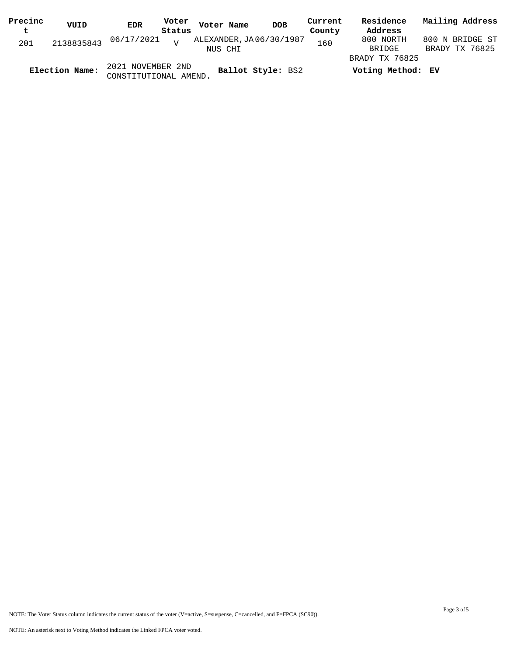| Precinc        | VUID       | <b>EDR</b>            | Voter          | Voter Name               | <b>DOB</b> | Current | Residence         | Mailing Address |
|----------------|------------|-----------------------|----------------|--------------------------|------------|---------|-------------------|-----------------|
| t              |            |                       | Status         |                          |            | County  | Address           |                 |
| 201            | 2138835843 | 06/17/2021            | $\overline{z}$ | ALEXANDER, JA 06/30/1987 |            | 160     | 800 NORTH         | 800 N BRIDGE ST |
|                |            |                       |                | NUS CHI                  |            |         | BRIDGE            | BRADY TX 76825  |
|                |            |                       |                |                          |            |         | BRADY TX 76825    |                 |
| Election Name: |            | 2021 NOVEMBER 2ND     |                | Ballot Style: BS2        |            |         | Voting Method: EV |                 |
|                |            | CONSTITUTIONAL AMEND. |                |                          |            |         |                   |                 |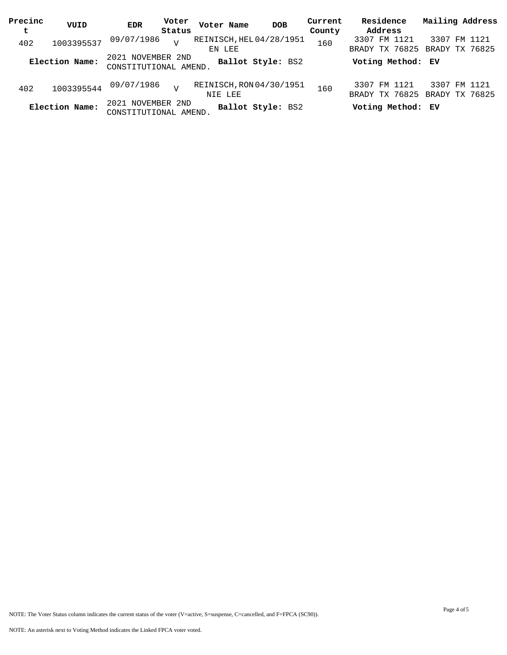| Precinc | VUID           | <b>EDR</b>                                    | Voter  | Voter Name                          | <b>DOB</b>        | Current | Residence                      | Mailing Address                               |
|---------|----------------|-----------------------------------------------|--------|-------------------------------------|-------------------|---------|--------------------------------|-----------------------------------------------|
| t       |                |                                               | Status |                                     |                   | County  | Address                        |                                               |
| 402     | 1003395537     | 09/07/1986                                    | $\tau$ | REINISCH, HEL 04/28/1951<br>EN LEE  |                   | 160     | 3307 FM 1121                   | 3307 FM 1121<br>BRADY TX 76825 BRADY TX 76825 |
|         | Election Name: | 2021 NOVEMBER 2ND<br>CONSTITUTIONAL AMEND.    |        |                                     | Ballot Style: BS2 |         | Voting Method: EV              |                                               |
| 402     | 1003395544     | 09/07/1986                                    | $\tau$ | REINISCH, RON 04/30/1951<br>NIE LEE |                   | 160     | 3307 FM 1121<br>BRADY TX 76825 | 3307 FM 1121<br>BRADY TX 76825                |
|         | Election Name: | NOVEMBER 2ND<br>2021<br>CONSTITUTIONAL AMEND. |        |                                     | Ballot Style: BS2 |         | Voting Method: EV              |                                               |